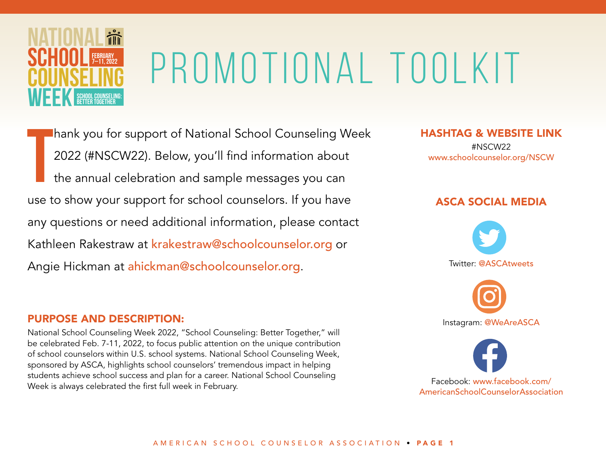

T hank you for support of National School Counseling Week 2022 (#NSCW22). Below, you'll find information about the annual celebration and sample messages you can use to show your support for school counselors. If you have any questions or need additional information, please contact Kathleen Rakestraw at krakestraw@schoolcounselor.org or Angie Hickman at ahickman@schoolcounselor.org.

#### PURPOSE AND DESCRIPTION:

National School Counseling Week 2022, "School Counseling: Better Together," will be celebrated Feb. 7-11, 2022, to focus public attention on the unique contribution of school counselors within U.S. school systems. National School Counseling Week, sponsored by ASCA, highlights school counselors' tremendous impact in helping students achieve school success and plan for a career. National School Counseling Week is always celebrated the first full week in February.

HASHTAG & WEBSITE LINK #NSCW22

[www.schoolcounselor.org/NSCW](http://www.schoolcounselor.org/NSCW)

#### ASCA SOCIAL MEDIA





Facebook: [www.facebook.com/](http://www.facebook.com/AmericanSchoolCounselorAssociation) [AmericanSchoolCounselorAssociation](http://www.facebook.com/AmericanSchoolCounselorAssociation)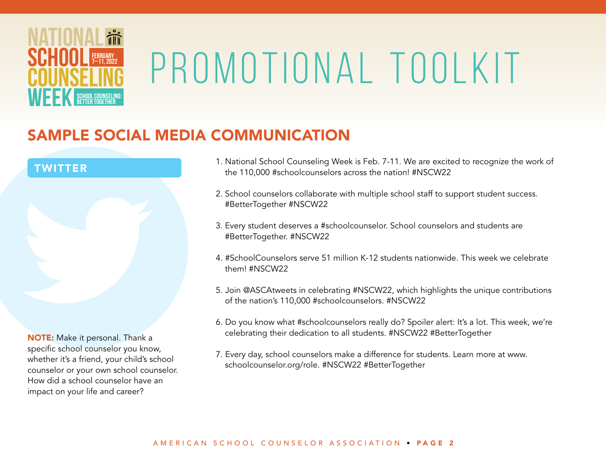

### SAMPLE SOCIAL MEDIA COMMUNICATION



impact on your life and career?

- 1. National School Counseling Week is Feb. 7-11. We are excited to recognize the work of the 110,000 #schoolcounselors across the nation! #NSCW22
- 2. School counselors collaborate with multiple school staff to support student success. #BetterTogether #NSCW22
- 3. Every student deserves a #schoolcounselor. School counselors and students are #BetterTogether. #NSCW22
- 4. #SchoolCounselors serve 51 million K-12 students nationwide. This week we celebrate them! #NSCW22
- 5. Join @ASCAtweets in celebrating #NSCW22, which highlights the unique contributions of the nation's 110,000 #schoolcounselors. #NSCW22
- 6. Do you know what #schoolcounselors really do? Spoiler alert: It's a lot. This week, we're celebrating their dedication to all students. #NSCW22 #BetterTogether
- 7. Every day, school counselors make a difference for students. Learn more at www. schoolcounselor.org/role. #NSCW22 #BetterTogether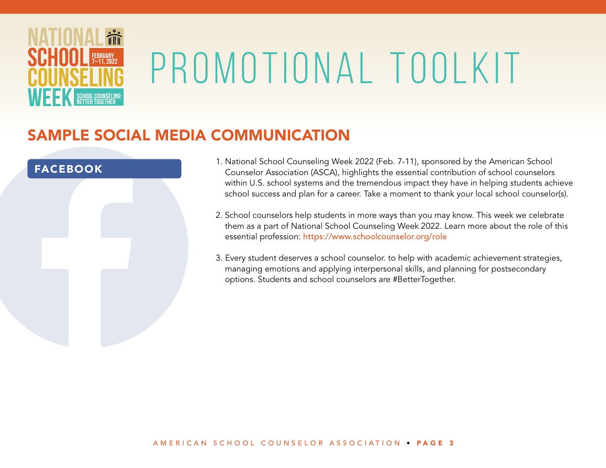

#### SAMPLE SOCIAL MEDIA COMMUNICATION

#### FACEBOOK

- 1. National School Counseling Week 2022 (Feb. 7-11), sponsored by the American School Counselor Association (ASCA), highlights the essential contribution of school counselors within U.S. school systems and the tremendous impact they have in helping students achieve school success and plan for a career. Take a moment to thank your local school counselor(s).
- 2. School counselors help students in more ways than you may know. This week we celebrate them as a part of National School Counseling Week 2022. Learn more about the role of this essential profession: <https://www.schoolcounselor.org/role>
- 3. Every student deserves a school counselor. to help with academic achievement strategies, managing emotions and applying interpersonal skills, and planning for postsecondary options. Students and school counselors are #BetterTogether.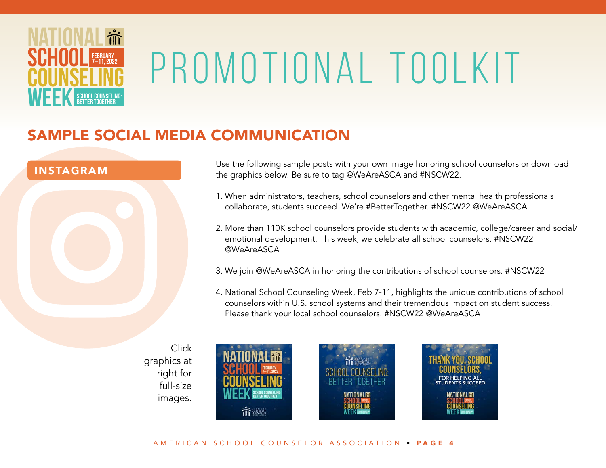

### SAMPLE SOCIAL MEDIA COMMUNICATION



Use the following sample posts with your own image honoring school counselors or download the graphics below. Be sure to tag @WeAreASCA and #NSCW22.

- 1. When administrators, teachers, school counselors and other mental health professionals collaborate, students succeed. We're #BetterTogether. #NSCW22 @WeAreASCA
- 2. More than 110K school counselors provide students with academic, college/career and social/ emotional development. This week, we celebrate all school counselors. #NSCW22 @WeAreASCA
- 3. We join @WeAreASCA in honoring the contributions of school counselors. #NSCW22
- 4. National School Counseling Week, Feb 7-11, highlights the unique contributions of school counselors within U.S. school systems and their tremendous impact on student success. Please thank your local school counselors. #NSCW22 @WeAreASCA
- Click graphics at right for full-size images.

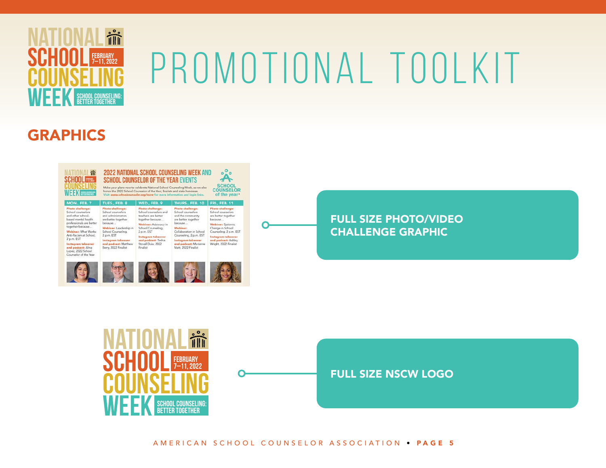

## GRAPHICS



#### FULL SIZE PHOTO/VIDEO CHALLENGE GRAPHIC



 $\bigcap$